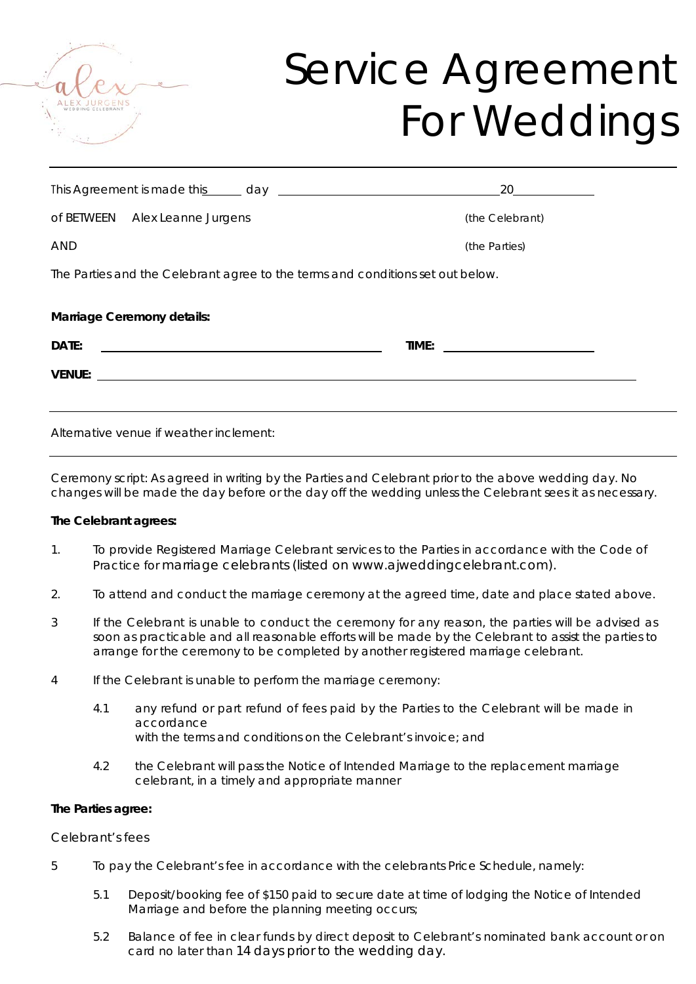

## Service Agreement For Weddings

|                                                                                                                                                                                                                                | 20              |
|--------------------------------------------------------------------------------------------------------------------------------------------------------------------------------------------------------------------------------|-----------------|
| of BETWEEN Alex Leanne Jurgens                                                                                                                                                                                                 | (the Celebrant) |
| AND                                                                                                                                                                                                                            | (the Parties)   |
| The Parties and the Celebrant agree to the terms and conditions set out below.                                                                                                                                                 |                 |
| Marriage Ceremony details:                                                                                                                                                                                                     |                 |
| DATE:                                                                                                                                                                                                                          |                 |
| VENUE: UNIVERSITY OF THE CONTRACT OF THE CONTRACT OF THE CONTRACT OF THE CONTRACT OF THE CONTRACT OF THE CONTRACT OF THE CONTRACT OF THE CONTRACT OF THE CONTRACT OF THE CONTRACT OF THE CONTRACT OF THE CONTRACT OF THE CONTR |                 |
|                                                                                                                                                                                                                                |                 |
| Alternative venue if weather inclement:                                                                                                                                                                                        |                 |

Ceremony script: As agreed in writing by the Parties and Celebrant prior to the above wedding day. No changes will be made the day before or the day off the wedding unless the Celebrant sees it as necessary.

#### **The Celebrant agrees:**

- 1. To provide Registered Marriage Celebrant services to the Parties in accordance with the Code of Practice for marriage celebrants (listed on www.ajweddingcelebrant.com).
- 2. To attend and conduct the marriage ceremony at the agreed time, date and place stated above.
- 3 If the Celebrant is unable to conduct the ceremony for any reason, the parties will be advised as soon as practicable and all reasonable efforts will be made by the Celebrant to assist the parties to arrange for the ceremony to be completed by another registered marriage celebrant.
- 4 If the Celebrant is unable to perform the marriage ceremony:
	- 4.1 any refund or part refund of fees paid by the Parties to the Celebrant will be made in accordance with the terms and conditions on the Celebrant's invoice; and
	- 4.2 the Celebrant will pass the Notice of Intended Marriage to the replacement marriage celebrant, in a timely and appropriate manner

#### **The Parties agree:**

#### *Celebrant's fees*

- 5 To pay the Celebrant's fee in accordance with the celebrants Price Schedule, namely:
	- 5.1 Deposit/booking fee of \$150 paid to secure date at time of lodging the Notice of Intended Marriage and before the planning meeting occurs;
	- 5.2 Balance of fee in clear funds by direct deposit to Celebrant's nominated bank account or on card no later than 14 days prior to the wedding day.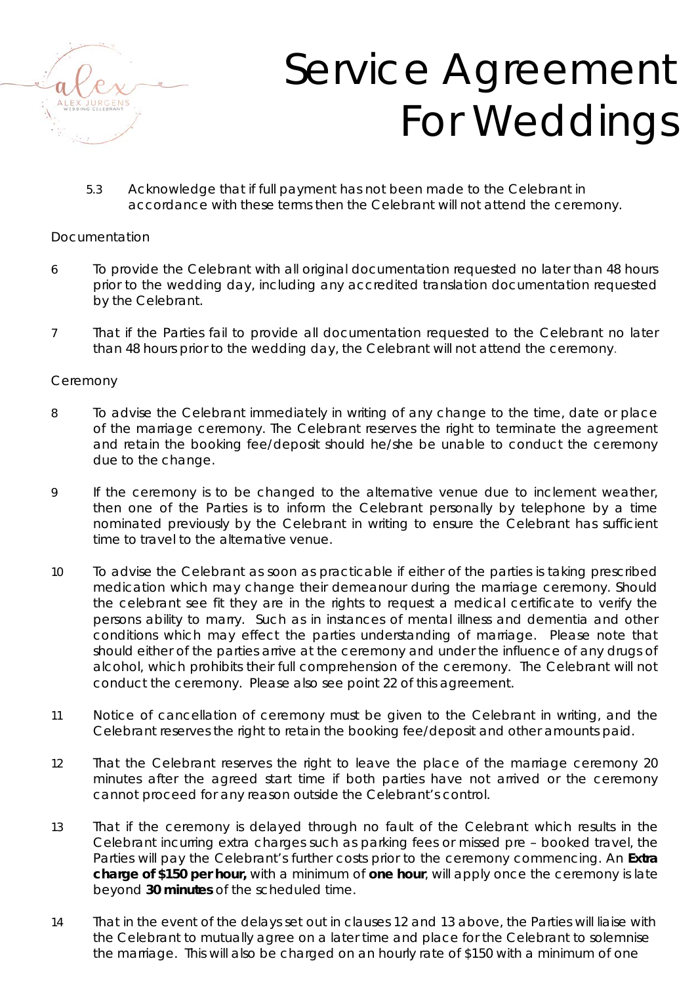

# Service Agreement For Weddings

5.3 Acknowledge that if full payment has not been made to the Celebrant in accordance with these terms then the Celebrant will not attend the ceremony.

### *Documentation*

- 6 To provide the Celebrant with all original documentation requested no later than 48 hours prior to the wedding day, including any accredited translation documentation requested by the Celebrant.
- 7 That if the Parties fail to provide all documentation requested to the Celebrant no later than 48 hours prior to the wedding day, the Celebrant will not attend the ceremony.

### *Ceremony*

- 8 To advise the Celebrant immediately in writing of any change to the time, date or place of the marriage ceremony. The Celebrant reserves the right to terminate the agreement and retain the booking fee/deposit should he/she be unable to conduct the ceremony due to the change.
- 9 If the ceremony is to be changed to the alternative venue due to inclement weather, then one of the Parties is to inform the Celebrant personally by telephone by a time nominated previously by the Celebrant in writing to ensure the Celebrant has sufficient time to travel to the alternative venue.
- 10 To advise the Celebrant as soon as practicable if either of the parties is taking prescribed medication which may change their demeanour during the marriage ceremony. Should the celebrant see fit they are in the rights to request a medical certificate to verify the persons ability to marry. Such as in instances of mental illness and dementia and other conditions which may effect the parties understanding of marriage. Please note that should either of the parties arrive at the ceremony and under the influence of any drugs of alcohol, which prohibits their full comprehension of the ceremony. The Celebrant will not conduct the ceremony. Please also see point 22 of this agreement.
- 11 Notice of cancellation of ceremony must be given to the Celebrant in writing, and the Celebrant reserves the right to retain the booking fee/deposit and other amounts paid.
- 12 That the Celebrant reserves the right to leave the place of the marriage ceremony 20 minutes after the agreed start time if both parties have not arrived or the ceremony cannot proceed for any reason outside the Celebrant's control.
- 13 That if the ceremony is delayed through no fault of the Celebrant which results in the Celebrant incurring extra charges such as parking fees or missed pre – booked travel, the Parties will pay the Celebrant's further costs prior to the ceremony commencing. An **Extra charge of \$150 per hour,** with a minimum of **one hour**, will apply once the ceremony is late beyond **30 minutes** of the scheduled time.
- 14 That in the event of the delays set out in clauses 12 and 13 above, the Parties will liaise with the Celebrant to mutually agree on a later time and place for the Celebrant to solemnise the marriage. This will also be charged on an hourly rate of \$150 with a minimum of one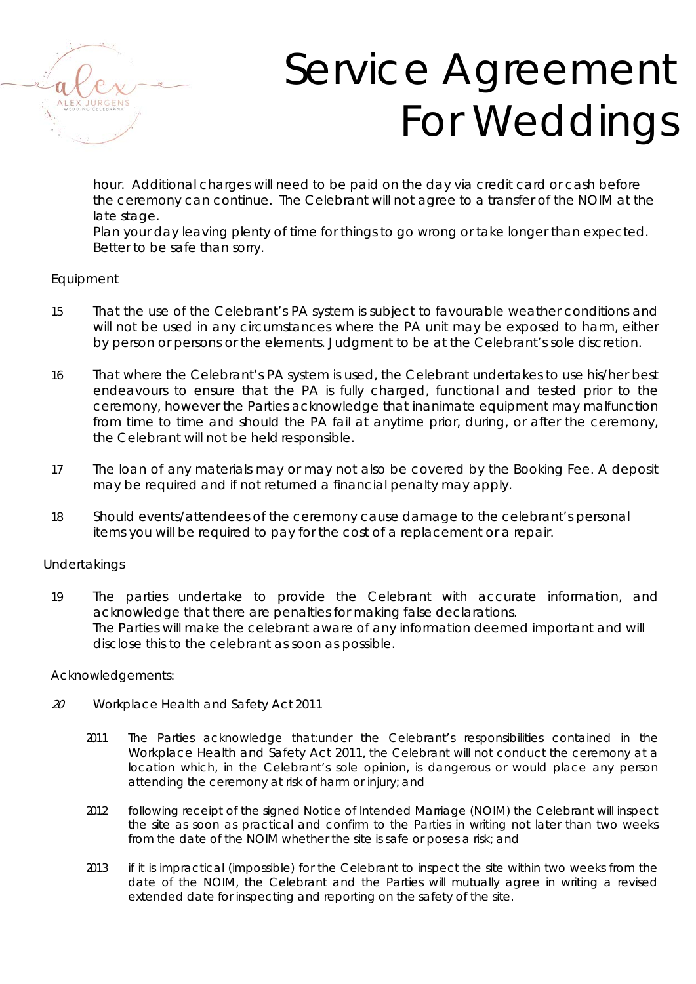

# Service Agreement For Weddings

hour. Additional charges will need to be paid on the day via credit card or cash before the ceremony can continue. The Celebrant will not agree to a transfer of the NOIM at the late stage.

Plan your day leaving plenty of time for things to go wrong or take longer than expected. Better to be safe than sorry.

### *Equipment*

- 15 That the use of the Celebrant's PA system is subject to favourable weather conditions and will not be used in any circumstances where the PA unit may be exposed to harm, either by person or persons or the elements. Judgment to be at the Celebrant's sole discretion.
- 16 That where the Celebrant's PA system is used, the Celebrant undertakes to use his/her best endeavours to ensure that the PA is fully charged, functional and tested prior to the ceremony, however the Parties acknowledge that inanimate equipment may malfunction from time to time and should the PA fail at anytime prior, during, or after the ceremony, the Celebrant will not be held responsible.
- 17 The loan of any materials may or may not also be covered by the Booking Fee. A deposit may be required and if not returned a financial penalty may apply.
- 18 Should events/attendees of the ceremony cause damage to the celebrant's personal items you will be required to pay for the cost of a replacement or a repair.

### *Undertakings*

19 The parties undertake to provide the Celebrant with accurate information, and acknowledge that there are penalties for making false declarations. The Parties will make the celebrant aware of any information deemed important and will disclose this to the celebrant as soon as possible.

### *Acknowledgements:*

- <sup>20</sup> *Workplace Health and Safety Act 2011*
	- 20.1.1 The Parties acknowledge that:under the Celebrant's responsibilities contained in the *Workplace Health and Safety Act 2011*, the Celebrant will not conduct the ceremony at a location which, in the Celebrant's sole opinion, is dangerous or would place any person attending the ceremony at risk of harm or injury; and
	- 2012 following receipt of the signed Notice of Intended Marriage (NOIM) the Celebrant will inspect the site as soon as practical and confirm to the Parties in writing not later than two weeks from the date of the NOIM whether the site is safe or poses a risk; and
	- 2013 if it is impractical (impossible) for the Celebrant to inspect the site within two weeks from the date of the NOIM, the Celebrant and the Parties will mutually agree in writing a revised extended date for inspecting and reporting on the safety of the site.